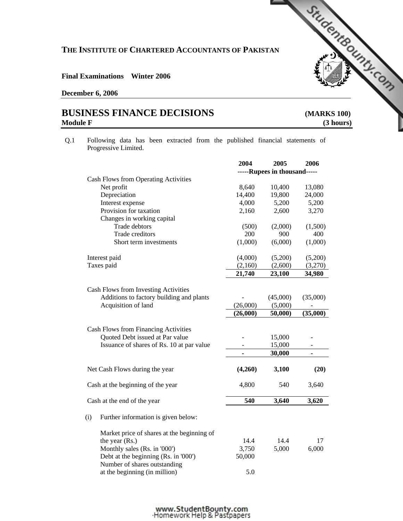# **THE INSTITUTE OF CHARTERED ACCOUNTANTS OF PAKISTAN**  THE INSTITUTE OF CHARTERED ACCOUNTANTS OF PAKISLARIES AND THE INSTITUTE OF CHARTERED ACCOUNTANTS OF PAKISLARIES

#### **Final Examinations Winter 2006**

#### **December 6, 2006**

## **Module F** (3 hours)

Q.1 Following data has been extracted from the published financial statements of Progressive Limited.

|                                                                         | 2004           | 2005                         | 2006                     |
|-------------------------------------------------------------------------|----------------|------------------------------|--------------------------|
|                                                                         |                | -----Rupees in thousand----- |                          |
| <b>Cash Flows from Operating Activities</b>                             |                |                              |                          |
| Net profit                                                              | 8,640          | 10,400                       | 13,080                   |
| Depreciation                                                            | 14,400         | 19,800                       | 24,000                   |
| Interest expense                                                        | 4,000          | 5,200                        | 5,200                    |
| Provision for taxation                                                  | 2,160          | 2,600                        | 3,270                    |
| Changes in working capital                                              |                |                              |                          |
| Trade debtors                                                           | (500)          | (2,000)                      | (1,500)                  |
| Trade creditors                                                         | 200            | 900                          | 400                      |
| Short term investments                                                  | (1,000)        | (6,000)                      | (1,000)                  |
| Interest paid                                                           | (4,000)        | (5,200)                      | (5,200)                  |
| Taxes paid                                                              | (2,160)        | (2,600)                      | (3,270)                  |
|                                                                         | 21,740         | 23,100                       | 34,980                   |
| Cash Flows from Investing Activities                                    |                |                              |                          |
| Additions to factory building and plants                                |                | (45,000)                     | (35,000)                 |
| Acquisition of land                                                     | (26,000)       | (5,000)                      |                          |
|                                                                         | (26,000)       | 50,000)                      | (35,000)                 |
|                                                                         |                |                              |                          |
| Cash Flows from Financing Activities<br>Quoted Debt issued at Par value |                | 15,000                       |                          |
| Issuance of shares of Rs. 10 at par value                               |                | 15,000                       |                          |
|                                                                         |                | 30,000                       | $\overline{\phantom{a}}$ |
|                                                                         | $\blacksquare$ |                              | $\blacksquare$           |
| Net Cash Flows during the year                                          | (4,260)        | 3,100                        | (20)                     |
| Cash at the beginning of the year                                       | 4,800          | 540                          | 3,640                    |
| Cash at the end of the year                                             | 540            | 3,640                        | 3,620                    |
| (i)<br>Further information is given below:                              |                |                              |                          |
| Market price of shares at the beginning of                              |                |                              |                          |
| the year (Rs.)                                                          | 14.4           | 14.4                         | 17                       |
| Monthly sales (Rs. in '000')                                            | 3,750          | 5,000                        | 6,000                    |
| Debt at the beginning (Rs. in '000')                                    | 50,000         |                              |                          |
| Number of shares outstanding                                            |                |                              |                          |
| at the beginning (in million)                                           | 5.0            |                              |                          |
|                                                                         |                |                              |                          |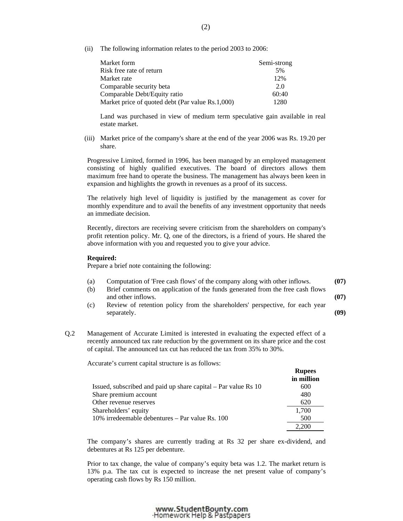(ii) The following information relates to the period 2003 to 2006:

| Market form                                      | Semi-strong |
|--------------------------------------------------|-------------|
| Risk free rate of return                         | 5%          |
| Market rate                                      | 12%         |
| Comparable security beta                         | 2.0         |
| Comparable Debt/Equity ratio                     | 60:40       |
| Market price of quoted debt (Par value Rs.1,000) | 1280        |

 Land was purchased in view of medium term speculative gain available in real estate market.

 (iii) Market price of the company's share at the end of the year 2006 was Rs. 19.20 per share.

 Progressive Limited, formed in 1996, has been managed by an employed management consisting of highly qualified executives. The board of directors allows them maximum free hand to operate the business. The management has always been keen in expansion and highlights the growth in revenues as a proof of its success.

 The relatively high level of liquidity is justified by the management as cover for monthly expenditure and to avail the benefits of any investment opportunity that needs an immediate decision.

 Recently, directors are receiving severe criticism from the shareholders on company's profit retention policy. Mr. Q, one of the directors, is a friend of yours. He shared the above information with you and requested you to give your advice.

#### **Required:**

Prepare a brief note containing the following:

- (a) Computation of 'Free cash flows' of the company along with other inflows. **(07)**
- (b) Brief comments on application of the funds generated from the free cash flows and other inflows. **(07) (07)**
- (c) Review of retention policy from the shareholders' perspective, for each year separately. **(09) (09)**
- Q.2 Management of Accurate Limited is interested in evaluating the expected effect of a recently announced tax rate reduction by the government on its share price and the cost of capital. The announced tax cut has reduced the tax from 35% to 30%.

Accurate's current capital structure is as follows:

|                                                                | <b>Rupees</b><br>in million |
|----------------------------------------------------------------|-----------------------------|
| Issued, subscribed and paid up share capital – Par value Rs 10 | 600                         |
| Share premium account                                          | 480                         |
| Other revenue reserves                                         | 620                         |
| Shareholders' equity                                           | 1,700                       |
| 10% irredeemable debentures – Par value Rs. 100                | 500                         |
|                                                                |                             |

 The company's shares are currently trading at Rs 32 per share ex-dividend, and debentures at Rs 125 per debenture.

Prior to tax change, the value of company's equity beta was 1.2. The market return is 13% p.a. The tax cut is expected to increase the net present value of company's operating cash flows by Rs 150 million.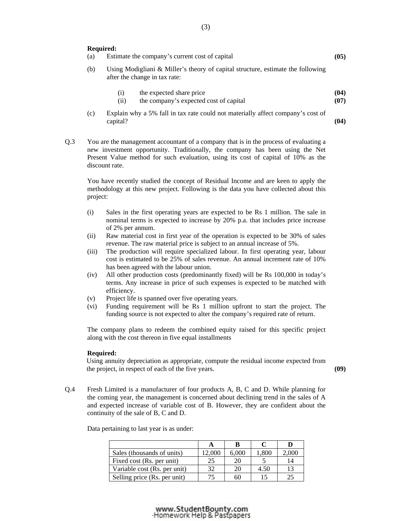#### **Required:**

| (a) | Estimate the company's current cost of capital                                                                   | (05)         |
|-----|------------------------------------------------------------------------------------------------------------------|--------------|
| (b) | Using Modigliani & Miller's theory of capital structure, estimate the following<br>after the change in tax rate: |              |
|     | the expected share price<br>(1)<br>the company's expected cost of capital<br>(i)                                 | (04)<br>(07) |
| (c) | Explain why a 5% fall in tax rate could not materially affect company's cost of<br>capital?                      | (04)         |

Q.3 You are the management accountant of a company that is in the process of evaluating a new investment opportunity. Traditionally, the company has been using the Net Present Value method for such evaluation, using its cost of capital of 10% as the discount rate.

You have recently studied the concept of Residual Income and are keen to apply the methodology at this new project. Following is the data you have collected about this project:

- (i) Sales in the first operating years are expected to be Rs 1 million. The sale in nominal terms is expected to increase by 20% p.a. that includes price increase of 2% per annum.
- (ii) Raw material cost in first year of the operation is expected to be 30% of sales revenue. The raw material price is subject to an annual increase of 5%.
- (iii) The production will require specialized labour. In first operating year, labour cost is estimated to be 25% of sales revenue. An annual increment rate of 10% has been agreed with the labour union.
- (iv) All other production costs (predominantly fixed) will be Rs 100,000 in today's terms. Any increase in price of such expenses is expected to be matched with efficiency.
- (v) Project life is spanned over five operating years.
- (vi) Funding requirement will be Rs 1 million upfront to start the project. The funding source is not expected to alter the company's required rate of return.

The company plans to redeem the combined equity raised for this specific project along with the cost thereon in five equal installments

#### **Required:**

Using annuity depreciation as appropriate, compute the residual income expected from the project, in respect of each of the five years. **(09)** 

- 
- Q.4 Fresh Limited is a manufacturer of four products A, B, C and D. While planning for the coming year, the management is concerned about declining trend in the sales of A and expected increase of variable cost of B. However, they are confident about the continuity of the sale of B, C and D.

| Sales (thousands of units)   | 2,000 | 6.000 | 1,800 | 2.000 |
|------------------------------|-------|-------|-------|-------|
| Fixed cost (Rs. per unit)    | 25    | 20    |       | 14    |
| Variable cost (Rs. per unit) | 32    | 20    | 4.50  | 13    |
| Selling price (Rs. per unit) |       |       |       |       |

Data pertaining to last year is as under: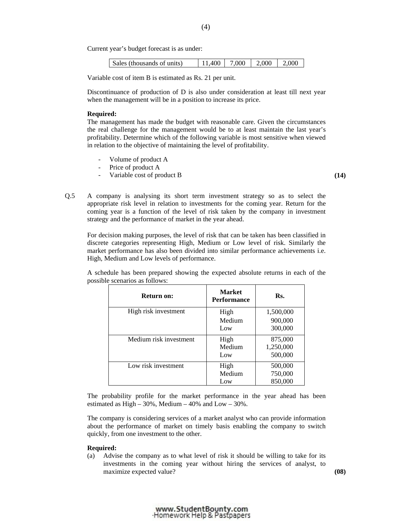Current year's budget forecast is as under:

| Sales (thousands of units) | $11.400$   7.000   2.000 |  | 2.000 |
|----------------------------|--------------------------|--|-------|
|                            |                          |  |       |

Variable cost of item B is estimated as Rs. 21 per unit.

 Discontinuance of production of D is also under consideration at least till next year when the management will be in a position to increase its price.

#### **Required:**

 The management has made the budget with reasonable care. Given the circumstances the real challenge for the management would be to at least maintain the last year's profitability. Determine which of the following variable is most sensitive when viewed in relation to the objective of maintaining the level of profitability.

- Volume of product A
- Price of product A
- Variable cost of product B **(14) (14) (15) (15) (15) (16) (16) (17) (17) (17) (17) (17) (17) (17) (17) (17) (17) (17) (17) (17) (17) (17) (17) (17) (17) (17) (17) (17)**

Q.5 A company is analysing its short term investment strategy so as to select the appropriate risk level in relation to investments for the coming year. Return for the coming year is a function of the level of risk taken by the company in investment strategy and the performance of market in the year ahead.

For decision making purposes, the level of risk that can be taken has been classified in discrete categories representing High, Medium or Low level of risk. Similarly the market performance has also been divided into similar performance achievements i.e. High, Medium and Low levels of performance.

 A schedule has been prepared showing the expected absolute returns in each of the possible scenarios as follows:

| <b>Return on:</b>      | <b>Market</b><br><b>Performance</b> | Rs.       |
|------------------------|-------------------------------------|-----------|
| High risk investment   | High                                | 1,500,000 |
|                        | Medium                              | 900,000   |
|                        | Low                                 | 300,000   |
| Medium risk investment | High                                | 875,000   |
|                        | Medium                              | 1,250,000 |
|                        | Low                                 | 500,000   |
| Low risk investment    | High                                | 500,000   |
|                        | Medium                              | 750,000   |
|                        | Low                                 | 850,000   |

 The probability profile for the market performance in the year ahead has been estimated as  $High - 30\%$ , Medium  $-40\%$  and  $Low - 30\%$ .

The company is considering services of a market analyst who can provide information about the performance of market on timely basis enabling the company to switch quickly, from one investment to the other.

#### **Required:**

 (a) Advise the company as to what level of risk it should be willing to take for its investments in the coming year without hiring the services of analyst, to maximize expected value? **(08)**